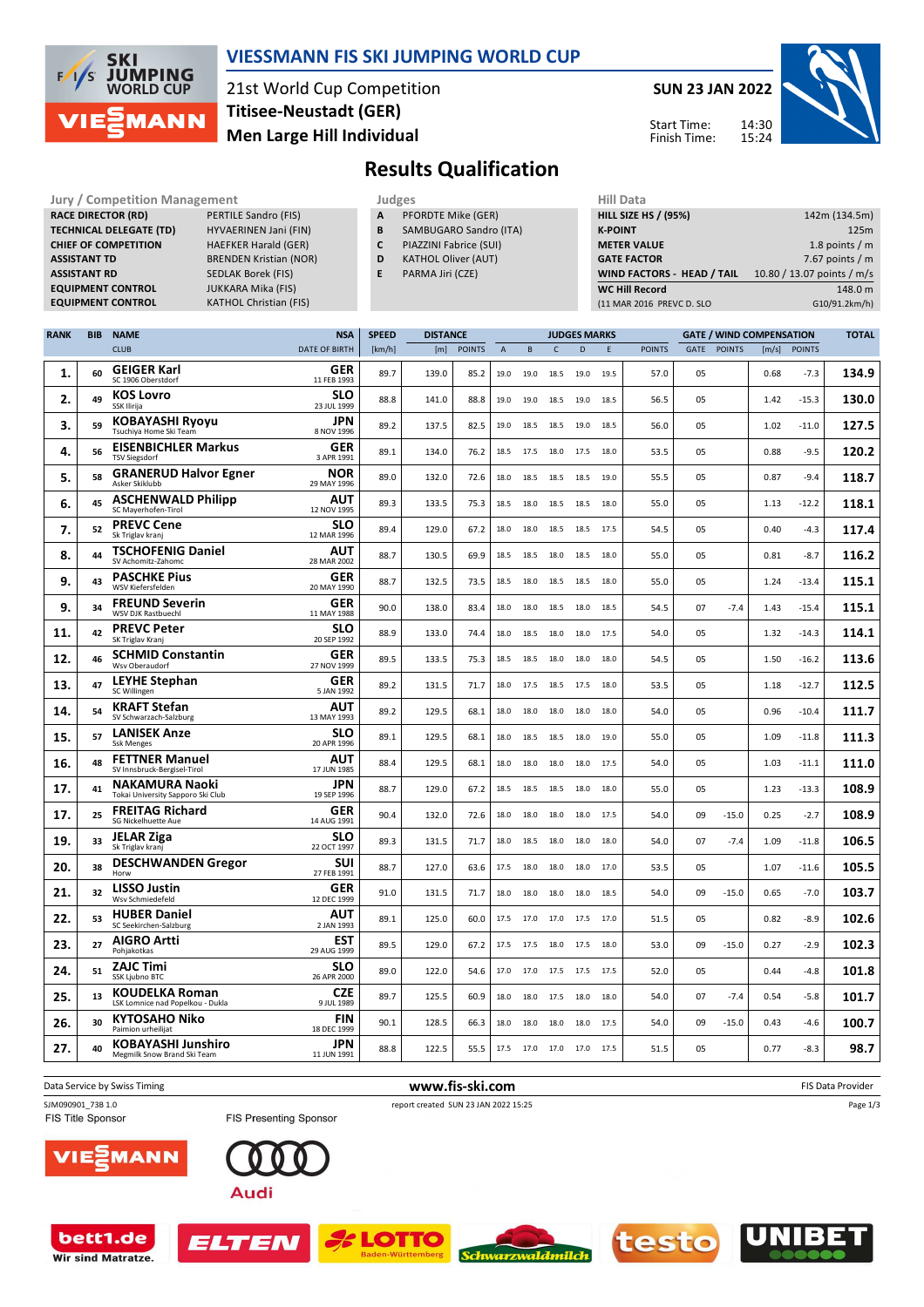

### **VIESSMANN FIS SKI JUMPING WORLD CUP**

21st World Cup Competition **Men Large Hill Individual Titisee-Neustadt (GER)**

**KATHOL Christian (FIS)** 

**SUN 23 JAN 2022**



Start Time: Finish Time:

## **Results Qualification**

**Jury / Competition Management Judges Judges Hill Data**<br>**RACE DIRECTOR (RD)** PERTILE Sandro (FIS) **A** PFORDTE Mike (GER) **HILL SIZE H RACE DIRECTOR (RD) TECHNICAL DELEGATE (TD)** HYVAERINEN Jani (FIN) **CHIEF OF COMPETITION** HAEFKER Harald (GER) **ASSISTANT TD** BRENDEN Kristian (NOR) **ASSISTANT RD** SEDLAK Borek (FIS)<br>**EQUIPMENT CONTROL** JUKKARA Mika (FIS) **EQUIPMENT CONTROL**<br>**EQUIPMENT CONTROL** 

- **A** PFORDTE Mike (GER)
- **B** SAMBUGARO Sandro (ITA)
- **C** PIAZZINI Fabrice (SUI)
- **D** KATHOL Oliver (AUT)
- **E** PARMA Jiri (CZE)

| <b>HILL SIZE HS / (95%)</b> | 142m (134.5m)              |
|-----------------------------|----------------------------|
| <b>K-POINT</b>              | 125m                       |
| <b>METER VALUE</b>          | 1.8 points $/m$            |
| <b>GATE FACTOR</b>          | 7.67 points $/m$           |
| WIND FACTORS - HEAD / TAIL  | 10.80 / 13.07 points / m/s |
| <b>WC Hill Record</b>       | 148.0 m                    |
| (11 MAR 2016 PREVC D. SLO   | G10/91.2km/h)              |
|                             |                            |

| <b>RANK</b> | <b>BIB</b> | <b>NAME</b>                                                | <b>NSA</b>                | <b>SPEED</b> | <b>DISTANCE</b> |               |                | <b>JUDGES MARKS</b> |              |      |             | <b>GATE / WIND COMPENSATION</b> |      |               |       | <b>TOTAL</b>  |       |
|-------------|------------|------------------------------------------------------------|---------------------------|--------------|-----------------|---------------|----------------|---------------------|--------------|------|-------------|---------------------------------|------|---------------|-------|---------------|-------|
|             |            | <b>CLUB</b>                                                | <b>DATE OF BIRTH</b>      | [km/h]       | [m]             | <b>POINTS</b> | $\overline{A}$ | B                   | $\mathsf{C}$ | D    | $\mathsf E$ | <b>POINTS</b>                   | GATE | <b>POINTS</b> | [m/s] | <b>POINTS</b> |       |
| 1.          | 60         | <b>GEIGER Karl</b><br>SC 1906 Oberstdorf                   | <b>GER</b><br>11 FEB 1993 | 89.7         | 139.0           | 85.2          | 19.0           | 19.0                | 18.5         | 19.0 | 19.5        | 57.0                            | 05   |               | 0.68  | $-7.3$        | 134.9 |
| 2.          | 49         | <b>KOS Lovro</b><br><b>SSK Ilirija</b>                     | <b>SLO</b><br>23 JUL 1999 | 88.8         | 141.0           | 88.8          | 19.0           | 19.0                | 18.5         | 19.0 | 18.5        | 56.5                            | 05   |               | 1.42  | $-15.3$       | 130.0 |
| 3.          | 59         | <b>KOBAYASHI Ryoyu</b><br>Tsuchiya Home Ski Team           | <b>JPN</b><br>8 NOV 1996  | 89.2         | 137.5           | 82.5          | 19.0           | 18.5                | 18.5         | 19.0 | 18.5        | 56.0                            | 05   |               | 1.02  | $-11.0$       | 127.5 |
| 4.          | 56         | <b>EISENBICHLER Markus</b><br><b>TSV Siegsdorf</b>         | <b>GER</b><br>3 APR 1991  | 89.1         | 134.0           | 76.2          | 18.5           | 17.5                | 18.0         | 17.5 | 18.0        | 53.5                            | 05   |               | 0.88  | $-9.5$        | 120.2 |
| 5.          | 58         | <b>GRANERUD Halvor Egner</b><br>Asker Skiklubb             | NOR<br>29 MAY 1996        | 89.0         | 132.0           | 72.6          | 18.0           | 18.5                | 18.5         | 18.5 | 19.0        | 55.5                            | 05   |               | 0.87  | $-9.4$        | 118.7 |
| 6.          | 45         | <b>ASCHENWALD Philipp</b><br>SC Mayerhofen-Tirol           | AUT<br>12 NOV 1995        | 89.3         | 133.5           | 75.3          | 18.5           | 18.0                | 18.5         | 18.5 | 18.0        | 55.0                            | 05   |               | 1.13  | $-12.2$       | 118.1 |
| 7.          | 52         | <b>PREVC Cene</b><br>Sk Triglav kranj                      | <b>SLO</b><br>12 MAR 1996 | 89.4         | 129.0           | 67.2          | 18.0           | 18.0                | 18.5         | 18.5 | 17.5        | 54.5                            | 05   |               | 0.40  | $-4.3$        | 117.4 |
| 8.          | 44         | <b>TSCHOFENIG Daniel</b><br>SV Achomitz-Zahomc             | AUT<br>28 MAR 2002        | 88.7         | 130.5           | 69.9          | 18.5           | 18.5                | 18.0         | 18.5 | 18.0        | 55.0                            | 05   |               | 0.81  | $-8.7$        | 116.2 |
| 9.          | 43         | <b>PASCHKE Pius</b><br>WSV Kiefersfelden                   | GER<br>20 MAY 1990        | 88.7         | 132.5           | 73.5          | 18.5           | 18.0                | 18.5         | 18.5 | 18.0        | 55.0                            | 05   |               | 1.24  | $-13.4$       | 115.1 |
| 9.          | 34         | <b>FREUND Severin</b><br>WSV DJK Rastbuechl                | GER<br>11 MAY 1988        | 90.0         | 138.0           | 83.4          | 18.0           | 18.0                | 18.5         | 18.0 | 18.5        | 54.5                            | 07   | $-7.4$        | 1.43  | $-15.4$       | 115.1 |
| 11.         | 42         | <b>PREVC Peter</b><br>SK Triglav Kranj                     | <b>SLO</b><br>20 SEP 1992 | 88.9         | 133.0           | 74.4          | 18.0           | 18.5                | 18.0         | 18.0 | 17.5        | 54.0                            | 05   |               | 1.32  | $-14.3$       | 114.1 |
| 12.         | 46         | <b>SCHMID Constantin</b><br>Wsv Oberaudorf                 | <b>GER</b><br>27 NOV 1999 | 89.5         | 133.5           | 75.3          | 18.5           |                     | 18.5 18.0    | 18.0 | 18.0        | 54.5                            | 05   |               | 1.50  | $-16.2$       | 113.6 |
| 13.         | 47         | <b>LEYHE Stephan</b><br>SC Willingen                       | GER<br>5 JAN 1992         | 89.2         | 131.5           | 71.7          | 18.0           | 17.5                | 18.5         | 17.5 | 18.0        | 53.5                            | 05   |               | 1.18  | $-12.7$       | 112.5 |
| 14.         | 54         | <b>KRAFT Stefan</b><br>SV Schwarzach-Salzburg              | AUT<br>13 MAY 1993        | 89.2         | 129.5           | 68.1          | 18.0           | 18.0                | 18.0         | 18.0 | 18.0        | 54.0                            | 05   |               | 0.96  | $-10.4$       | 111.7 |
| 15.         | 57         | <b>LANISEK Anze</b><br><b>Ssk Menges</b>                   | <b>SLO</b><br>20 APR 1996 | 89.1         | 129.5           | 68.1          | 18.0           | 18.5                | 18.5         | 18.0 | 19.0        | 55.0                            | 05   |               | 1.09  | $-11.8$       | 111.3 |
| 16.         | 48         | <b>FETTNER Manuel</b><br>SV Innsbruck-Bergisel-Tirol       | <b>AUT</b><br>17 JUN 1985 | 88.4         | 129.5           | 68.1          | 18.0           | 18.0                | 18.0         | 18.0 | 17.5        | 54.0                            | 05   |               | 1.03  | $-11.1$       | 111.0 |
| 17.         | 41         | <b>NAKAMURA Naoki</b><br>Tokai University Sapporo Ski Club | <b>JPN</b><br>19 SEP 1996 | 88.7         | 129.0           | 67.2          | 18.5           | 18.5                | 18.5         | 18.0 | 18.0        | 55.0                            | 05   |               | 1.23  | $-13.3$       | 108.9 |
| 17.         | 25         | <b>FREITAG Richard</b><br>SG Nickelhuette Aue              | GER<br>14 AUG 1991        | 90.4         | 132.0           | 72.6          | 18.0           | 18.0                | 18.0         | 18.0 | 17.5        | 54.0                            | 09   | $-15.0$       | 0.25  | $-2.7$        | 108.9 |
| 19.         | 33         | <b>JELAR Ziga</b><br>Sk Triglav krani                      | <b>SLO</b><br>22 OCT 1997 | 89.3         | 131.5           | 71.7          | 18.0           | 18.5                | 18.0         | 18.0 | 18.0        | 54.0                            | 07   | $-7.4$        | 1.09  | $-11.8$       | 106.5 |
| 20.         | 38         | <b>DESCHWANDEN Gregor</b><br>Horw                          | <b>SUI</b><br>27 FEB 1991 | 88.7         | 127.0           | 63.6          | 17.5           | 18.0                | 18.0         | 18.0 | 17.0        | 53.5                            | 05   |               | 1.07  | $-11.6$       | 105.5 |
| 21.         | 32         | <b>LISSO Justin</b><br>Wsv Schmiedefeld                    | GER<br>12 DEC 1999        | 91.0         | 131.5           | 71.7          | 18.0           | 18.0                | 18.0         | 18.0 | 18.5        | 54.0                            | 09   | $-15.0$       | 0.65  | $-7.0$        | 103.7 |
| 22.         | 53         | <b>HUBER Daniel</b><br>SC Seekirchen-Salzburg              | AUT<br>2 JAN 1993         | 89.1         | 125.0           | 60.0          | 17.5           | 17.0                | 17.0         | 17.5 | 17.0        | 51.5                            | 05   |               | 0.82  | $-8.9$        | 102.6 |
| 23.         | 27         | <b>AIGRO Artti</b><br>Pohjakotkas                          | EST<br>29 AUG 1999        | 89.5         | 129.0           | 67.2          | 17.5           |                     | 17.5 18.0    | 17.5 | 18.0        | 53.0                            | 09   | $-15.0$       | 0.27  | $-2.9$        | 102.3 |
| 24.         | 51         | <b>ZAJC Timi</b><br>SSK Ljubno BTC                         | <b>SLO</b><br>26 APR 2000 | 89.0         | 122.0           | 54.6          | 17.0           | 17.0 17.5           |              | 17.5 | 17.5        | 52.0                            | 05   |               | 0.44  | $-4.8$        | 101.8 |
| 25.         | 13         | <b>KOUDELKA Roman</b><br>LSK Lomnice nad Popelkou - Dukla  | <b>CZE</b><br>9 JUL 1989  | 89.7         | 125.5           | 60.9          | 18.0           | 18.0                | 17.5         | 18.0 | 18.0        | 54.0                            | 07   | $-7.4$        | 0.54  | $-5.8$        | 101.7 |
| 26.         | 30         | <b>KYTOSAHO Niko</b><br>Paimion urheilijat                 | <b>FIN</b><br>18 DEC 1999 | 90.1         | 128.5           | 66.3          | 18.0           | 18.0                | 18.0         | 18.0 | 17.5        | 54.0                            | 09   | $-15.0$       | 0.43  | $-4.6$        | 100.7 |
| 27.         | 40         | <b>KOBAYASHI Junshiro</b><br>Megmilk Snow Brand Ski Team   | JPN<br>11 JUN 1991        | 88.8         | 122.5           | 55.5          | 17.5           | 17.0 17.0 17.0      |              |      | 17.5        | 51.5                            | 05   |               | 0.77  | $-8.3$        | 98.7  |

Data Service by Swiss Timing **WWW.fis-Ski.com www.fis-ski.com WWW.fis-Ski.com FIS Data Provider** SJM090901\_73B 1.0<br>
FIS Presenting Sponsor report created SUN 23 JAN 2022 15:25<br>
FIS Title Sponsor FIS Presenting Sponsor Page 1/3FIS Presenting Sponsor **MANN** 7E) **Audi** 

**OTTC** 



ELTEN



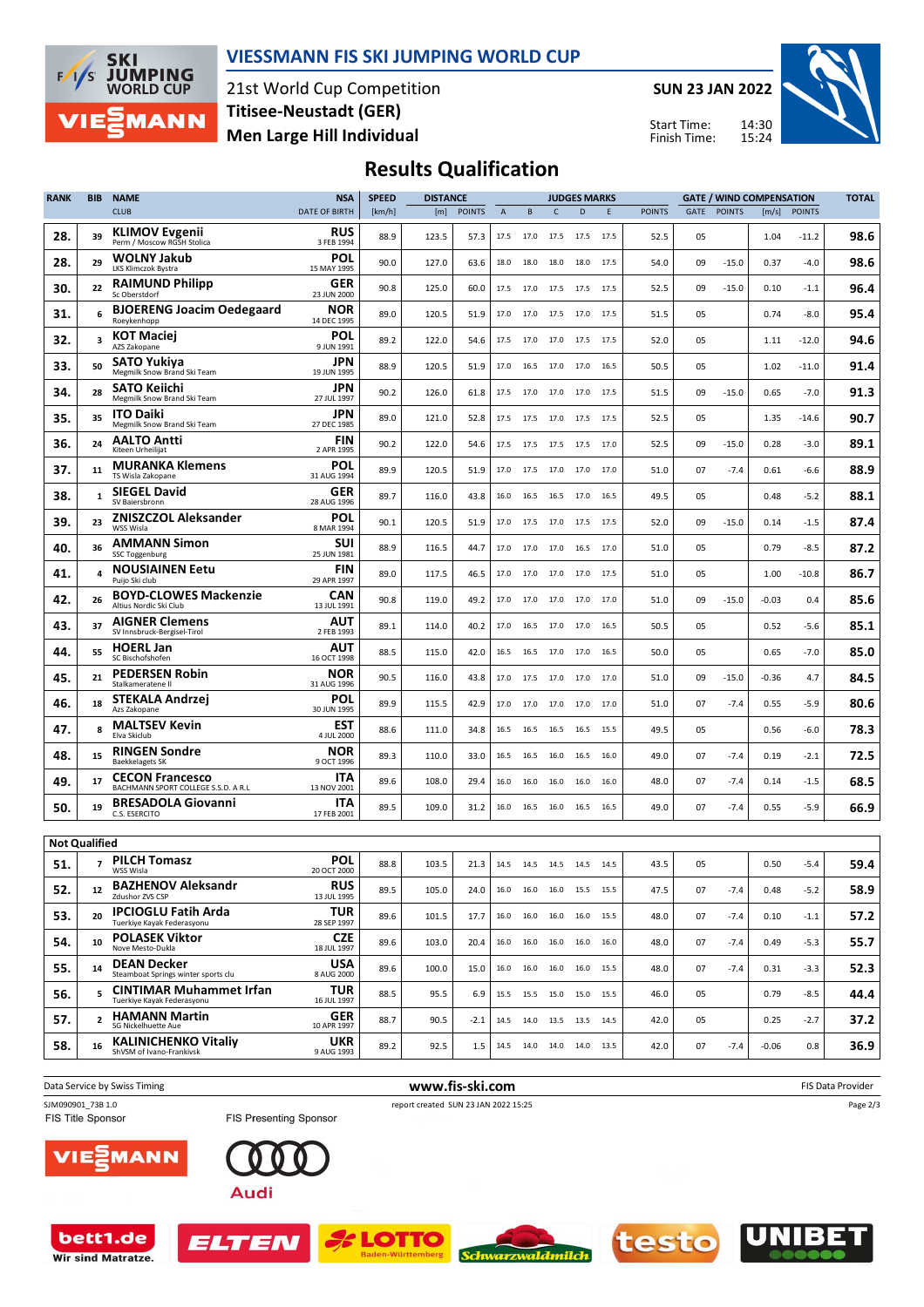

### **VIESSMANN FIS SKI JUMPING WORLD CUP**

21st World Cup Competition **Men Large Hill Individual Titisee-Neustadt (GER)**

**SUN 23 JAN 2022**

Start Time: Finish Time:



## **Results Qualification**

| <b>RANK</b>          | <b>BIB</b>     | <b>NAME</b>                                                   | <b>NSA</b>                | <b>SPEED</b> | <b>DISTANCE</b> |               | <b>JUDGES MARKS</b> |                              |                |      |      |               | <b>GATE / WIND COMPENSATION</b> | <b>TOTAL</b>  |         |               |      |
|----------------------|----------------|---------------------------------------------------------------|---------------------------|--------------|-----------------|---------------|---------------------|------------------------------|----------------|------|------|---------------|---------------------------------|---------------|---------|---------------|------|
|                      |                | <b>CLUB</b>                                                   | <b>DATE OF BIRTH</b>      | [km/h]       | [m]             | <b>POINTS</b> | $\overline{A}$      | B                            | C.             | D    | E    | <b>POINTS</b> | GATE                            | <b>POINTS</b> | [m/s]   | <b>POINTS</b> |      |
| 28.                  | 39             | <b>KLIMOV Evgenii</b><br>Perm / Moscow RGSH Stolica           | <b>RUS</b><br>3 FEB 1994  | 88.9         | 123.5           | 57.3          | 17.5                | 17.0                         | 17.5           | 17.5 | 17.5 | 52.5          | 05                              |               | 1.04    | $-11.2$       | 98.6 |
| 28.                  | 29             | <b>WOLNY Jakub</b><br>LKS Klimczok Bystra                     | POL<br>15 MAY 1995        | 90.0         | 127.0           | 63.6          | 18.0                | 18.0                         | 18.0           | 18.0 | 17.5 | 54.0          | 09                              | $-15.0$       | 0.37    | $-4.0$        | 98.6 |
| 30.                  | 22             | <b>RAIMUND Philipp</b><br>Sc Oberstdorf                       | GER<br>23 JUN 2000        | 90.8         | 125.0           | 60.0          | 17.5                | 17.0                         | 17.5           | 17.5 | 17.5 | 52.5          | 09                              | $-15.0$       | 0.10    | $-1.1$        | 96.4 |
| 31.                  | 6              | <b>BJOERENG Joacim Oedegaard</b><br>Roeykenhopp               | NOR<br>14 DEC 1995        | 89.0         | 120.5           | 51.9          | 17.0                |                              | 17.0 17.5 17.0 |      | 17.5 | 51.5          | 05                              |               | 0.74    | $-8.0$        | 95.4 |
| 32.                  | 3              | <b>KOT Maciei</b><br>AZS Zakopane                             | POL<br>9 JUN 1991         | 89.2         | 122.0           | 54.6          | 17.5                |                              | 17.0 17.0      | 17.5 | 17.5 | 52.0          | 05                              |               | 1.11    | $-12.0$       | 94.6 |
| 33.                  | 50             | <b>SATO Yukiya</b><br>Megmilk Snow Brand Ski Team             | JPN<br>19 JUN 1995        | 88.9         | 120.5           | 51.9          | 17.0                |                              | 16.5 17.0 17.0 |      | 16.5 | 50.5          | 05                              |               | 1.02    | $-11.0$       | 91.4 |
| 34.                  | 28             | SATO Keiichi<br>Megmilk Snow Brand Ski Team                   | JPN<br>27 JUL 1997        | 90.2         | 126.0           | 61.8          | 17.5                | 17.0                         | 17.0           | 17.0 | 17.5 | 51.5          | 09                              | $-15.0$       | 0.65    | $-7.0$        | 91.3 |
| 35.                  | 35             | <b>ITO Daiki</b><br>Megmilk Snow Brand Ski Team               | JPN<br>27 DEC 1985        | 89.0         | 121.0           | 52.8          | 17.5                |                              | 17.5 17.0      | 17.5 | 17.5 | 52.5          | 05                              |               | 1.35    | $-14.6$       | 90.7 |
| 36.                  | 24             | <b>AALTO Antti</b><br>Kiteen Urheilijat                       | <b>FIN</b><br>2 APR 1995  | 90.2         | 122.0           | 54.6          | 17.5                |                              | 17.5 17.5 17.5 |      | 17.0 | 52.5          | 09                              | $-15.0$       | 0.28    | $-3.0$        | 89.1 |
| 37.                  | 11             | <b>MURANKA Klemens</b><br>TS Wisla Zakopane                   | POL<br>31 AUG 1994        | 89.9         | 120.5           | 51.9          | 17.0                | 17.5                         | 17.0           | 17.0 | 17.0 | 51.0          | 07                              | $-7.4$        | 0.61    | $-6.6$        | 88.9 |
| 38.                  | 1              | <b>SIEGEL David</b><br>SV Baiersbronn                         | GER<br>28 AUG 1996        | 89.7         | 116.0           | 43.8          | 16.0                |                              | 16.5 16.5      | 17.0 | 16.5 | 49.5          | 05                              |               | 0.48    | $-5.2$        | 88.1 |
| 39.                  | 23             | <b>ZNISZCZOL Aleksander</b><br>WSS Wisla                      | POL<br>8 MAR 1994         | 90.1         | 120.5           | 51.9          | 17.0                | 17.5                         | 17.0           | 17.5 | 17.5 | 52.0          | 09                              | $-15.0$       | 0.14    | $-1.5$        | 87.4 |
| 40.                  | 36             | <b>AMMANN Simon</b><br><b>SSC Toggenburg</b>                  | <b>SUI</b><br>25 JUN 1981 | 88.9         | 116.5           | 44.7          | 17.0                |                              | 17.0 17.0      | 16.5 | 17.0 | 51.0          | 05                              |               | 0.79    | $-8.5$        | 87.2 |
| 41.                  | 4              | <b>NOUSIAINEN Eetu</b><br>Puijo Ski club                      | <b>FIN</b><br>29 APR 1997 | 89.0         | 117.5           | 46.5          | 17.0                |                              | 17.0 17.0 17.0 |      | 17.5 | 51.0          | 05                              |               | 1.00    | $-10.8$       | 86.7 |
| 42.                  | 26             | <b>BOYD-CLOWES Mackenzie</b><br>Altius Nordic Ski Club        | <b>CAN</b><br>13 JUL 1991 | 90.8         | 119.0           | 49.2          | 17.0                | 17.0                         | 17.0           | 17.0 | 17.0 | 51.0          | 09                              | $-15.0$       | -0.03   | 0.4           | 85.6 |
| 43.                  | 37             | <b>AIGNER Clemens</b><br>SV Innsbruck-Bergisel-Tirol          | AUT<br>2 FEB 1993         | 89.1         | 114.0           | 40.2          | 17.0                |                              | 16.5 17.0      | 17.0 | 16.5 | 50.5          | 05                              |               | 0.52    | $-5.6$        | 85.1 |
| 44.                  | 55             | <b>HOERL Jan</b><br>SC Bischofshofen                          | AUT<br>16 OCT 1998        | 88.5         | 115.0           | 42.0          | 16.5                | 16.5                         | 17.0           | 17.0 | 16.5 | 50.0          | 05                              |               | 0.65    | $-7.0$        | 85.0 |
| 45.                  | 21             | <b>PEDERSEN Robin</b><br>Stalkameratene II                    | NOR<br>31 AUG 1996        | 90.5         | 116.0           | 43.8          | 17.0                |                              | 17.5 17.0 17.0 |      | 17.0 | 51.0          | 09                              | $-15.0$       | $-0.36$ | 4.7           | 84.5 |
| 46.                  | 18             | STEKALA Andrzej<br>Azs Zakopane                               | POL<br>30 JUN 1995        | 89.9         | 115.5           | 42.9          | 17.0                |                              | 17.0 17.0 17.0 |      | 17.0 | 51.0          | 07                              | $-7.4$        | 0.55    | $-5.9$        | 80.6 |
| 47.                  | 8              | <b>MALTSEV Kevin</b><br>Elva Skiclub                          | <b>EST</b><br>4 JUL 2000  | 88.6         | 111.0           | 34.8          | 16.5                | 16.5                         | 16.5           | 16.5 | 15.5 | 49.5          | 05                              |               | 0.56    | $-6.0$        | 78.3 |
| 48.                  | 15             | <b>RINGEN Sondre</b><br><b>Baekkelagets SK</b>                | NOR<br>9 OCT 1996         | 89.3         | 110.0           | 33.0          | 16.5                | 16.5                         | 16.0           | 16.5 | 16.0 | 49.0          | 07                              | $-7.4$        | 0.19    | $-2.1$        | 72.5 |
| 49.                  | 17             | <b>CECON Francesco</b><br>BACHMANN SPORT COLLEGE S.S.D. A R.L | ITA<br>13 NOV 2001        | 89.6         | 108.0           | 29.4          | 16.0                | 16.0                         | 16.0           | 16.0 | 16.0 | 48.0          | 07                              | $-7.4$        | 0.14    | $-1.5$        | 68.5 |
| 50.                  | 19             | <b>BRESADOLA Giovanni</b><br>C.S. ESERCITO                    | ITA<br>17 FEB 2001        | 89.5         | 109.0           | 31.2          | 16.0                |                              | 16.5 16.0      | 16.5 | 16.5 | 49.0          | 07                              | $-7.4$        | 0.55    | $-5.9$        | 66.9 |
| <b>Not Qualified</b> |                |                                                               |                           |              |                 |               |                     |                              |                |      |      |               |                                 |               |         |               |      |
| 51.                  |                | <b>PILCH Tomasz</b><br>WSS Wisla                              | POL<br>20 OCT 2000        | 88.8         | 103.5           | 21.3          |                     | 14.5 14.5 14.5 14.5 14.5     |                |      |      | 43.5          | 05                              |               | 0.50    | $-5.4$        | 59.4 |
| 52.                  | 12             | <b>BAZHENOV Aleksandr</b><br>Zdushor ZVS CSP                  | <b>RUS</b><br>13 JUL 1995 | 89.5         | 105.0           | 24.0          |                     | 16.0 16.0 16.0 15.5 15.5     |                |      |      | 47.5          | 07                              | $-7.4$        | 0.48    | $-5.2$        | 58.9 |
| 53.                  | 20             | <b>IPCIOGLU Fatih Arda</b><br>Tuerkiye Kayak Federasyonu      | TUR.<br>28 SEP 1997       | 89.6         | 101.5           | 17.7          |                     | 16.0 16.0 16.0 16.0 15.5     |                |      |      | 48.0          | 07                              | $-7.4$        | 0.10    | $-1.1$        | 57.2 |
| 54.                  | 10             | <b>POLASEK Viktor</b><br>Nove Mesto-Dukla                     | <b>CZE</b><br>18 JUL 1997 | 89.6         | 103.0           | 20.4          |                     | 16.0  16.0  16.0  16.0  16.0 |                |      |      | 48.0          | 07                              | $-7.4$        | 0.49    | $-5.3$        | 55.7 |
| 55.                  | 14             | <b>DEAN Decker</b><br>Steamboat Springs winter sports clu     | USA<br>8 AUG 2000         | 89.6         | 100.0           | 15.0          | 16.0                | 16.0 16.0 16.0               |                |      | 15.5 | 48.0          | 07                              | $-7.4$        | 0.31    | $-3.3$        | 52.3 |
| 56.                  |                | <b>CINTIMAR Muhammet Irfan</b><br>Tuerkiye Kayak Federasyonu  | <b>TUR</b><br>16 JUL 1997 | 88.5         | 95.5            | 6.9           |                     | 15.5 15.5 15.0 15.0 15.5     |                |      |      | 46.0          | 05                              |               | 0.79    | $-8.5$        | 44.4 |
| 57.                  | $\overline{2}$ | <b>HAMANN Martin</b><br>SG Nickelhuette Aue                   | GER<br>10 APR 1997        | 88.7         | 90.5            | $-2.1$        |                     | 14.5 14.0 13.5 13.5 14.5     |                |      |      | 42.0          | 05                              |               | 0.25    | $-2.7$        | 37.2 |
| 58.                  | 16             | <b>KALINICHENKO Vitaliy</b><br>ShVSM of Ivano-Frankivsk       | <b>UKR</b><br>9 AUG 1993  | 89.2         | 92.5            | 1.5           |                     | 14.5 14.0 14.0 14.0 13.5     |                |      |      | 42.0          | 07                              | $-7.4$        | $-0.06$ | 0.8           | 36.9 |
|                      |                |                                                               |                           |              |                 |               |                     |                              |                |      |      |               |                                 |               |         |               |      |

Data Service by Swiss Timing **and Service by Swiss Timing www.fis-ski.com FIS Data Provider** FIS Data Provider SJM090901\_73B 1.0 report created SUN 23 JAN 2022 15:25<br>FIS Title Sponsor FIS Presenting Sponsor report created SUN 23 JAN 2022 15:25 Page 2/3MANN TE) Audi



ELTEN